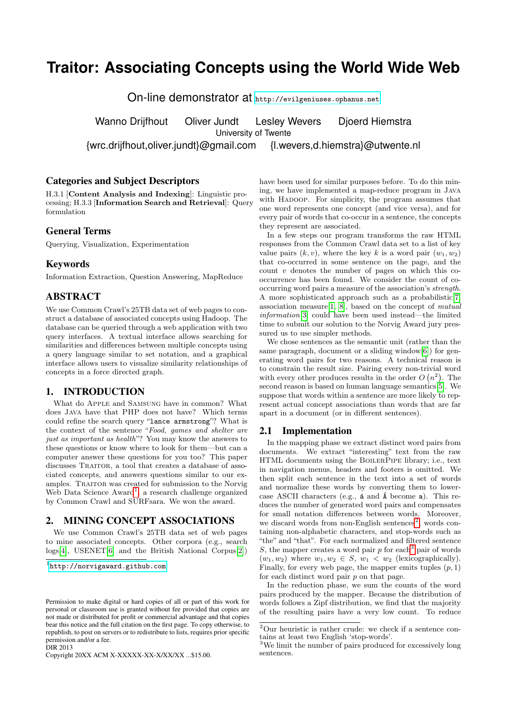# **Traitor: Associating Concepts using the World Wide Web**

On-line demonstrator at <http://evilgeniuses.ophanus.net>

Wanno Drijfhout Oliver Jundt Lesley Wevers Dioerd Hiemstra University of Twente

{wrc.drijfhout,oliver.jundt}@gmail.com {l.wevers,d.hiemstra}@utwente.nl

## Categories and Subject Descriptors

H.3.1 [Content Analysis and Indexing]: Linguistic processing; H.3.3 [Information Search and Retrieval]: Query formulation

# General Terms

Querying, Visualization, Experimentation

# Keywords

Information Extraction, Question Answering, MapReduce

# **ABSTRACT**

We use Common Crawl's 25TB data set of web pages to construct a database of associated concepts using Hadoop. The database can be queried through a web application with two query interfaces. A textual interface allows searching for similarities and differences between multiple concepts using a query language similar to set notation, and a graphical interface allows users to visualize similarity relationships of concepts in a force directed graph.

### 1. INTRODUCTION

What do Apple and Samsung have in common? What does Java have that PHP does not have? Which terms could refine the search query "lance armstrong"? What is the context of the sentence "Food, games and shelter are just as important as health"? You may know the answers to these questions or know where to look for them—but can a computer answer these questions for you too? This paper discusses TRAITOR, a tool that creates a database of associated concepts, and answers questions similar to our examples. Traitor was created for submission to the Norvig Web Data Science Award<sup>[1](#page-0-0)</sup>, a research challenge organized by Common Crawl and SURFsara. We won the award.

# 2. MINING CONCEPT ASSOCIATIONS

We use Common Crawl's 25TB data set of web pages to mine associated concepts. Other corpora (e.g., search logs[\[4\]](#page-1-0), USENET[\[6\]](#page-1-1) and the British National Corpus[\[2\]](#page-1-2))

DIR 2013

Copyright 20XX ACM X-XXXXX-XX-X/XX/XX ...\$15.00.

have been used for similar purposes before. To do this mining, we have implemented a map-reduce program in Java with HADOOP. For simplicity, the program assumes that one word represents one concept (and vice versa), and for every pair of words that co-occur in a sentence, the concepts they represent are associated.

In a few steps our program transforms the raw HTML responses from the Common Crawl data set to a list of key value pairs  $(k, v)$ , where the key k is a word pair  $(w_1, w_2)$ that co-occurred in some sentence on the page, and the count  $v$  denotes the number of pages on which this cooccurrence has been found. We consider the count of cooccurring word pairs a measure of the association's strength. A more sophisticated approach such as a probabilistic[\[7\]](#page-1-3) association measure $[1, 8]$  $[1, 8]$ , based on the concept of *mutual* information[\[3\]](#page-1-6) could have been used instead—the limited time to submit our solution to the Norvig Award jury pressured us to use simpler methods.

We chose sentences as the semantic unit (rather than the same paragraph, document or a sliding window[\[6\]](#page-1-1)) for generating word pairs for two reasons. A technical reason is to constrain the result size. Pairing every non-trivial word with every other produces results in the order  $O(n^2)$ . The second reason is based on human language semantics<sup>[\[5\]](#page-1-7)</sup>. We suppose that words within a sentence are more likely to represent actual concept associations than words that are far apart in a document (or in different sentences).

#### 2.1 Implementation

In the mapping phase we extract distinct word pairs from documents. We extract "interesting" text from the raw HTML documents using the BoilerPipe library; i.e., text in navigation menus, headers and footers is omitted. We then split each sentence in the text into a set of words and normalize these words by converting them to lowercase ASCII characters (e.g.,  $\acute{a}$  and  $\acute{A}$  become a). This reduces the number of generated word pairs and compensates for small notation differences between words. Moreover, we discard words from non-English sentences<sup>[2](#page-0-1)</sup>, words containing non-alphabetic characters, and stop-words such as "the" and "that". For each normalized and filtered sentence S, the mapper creates a word pair  $p$  for each<sup>[3](#page-0-2)</sup> pair of words  $(w_1, w_2)$  where  $w_1, w_2 \in S$ ,  $w_1 < w_2$  (lexicographically). Finally, for every web page, the mapper emits tuples  $(p, 1)$ for each distinct word pair  $p$  on that page.

In the reduction phase, we sum the counts of the word pairs produced by the mapper. Because the distribution of words follows a Zipf distribution, we find that the majority of the resulting pairs have a very low count. To reduce

<span id="page-0-0"></span><sup>1</sup> <http://norvigaward.github.com>

Permission to make digital or hard copies of all or part of this work for personal or classroom use is granted without fee provided that copies are not made or distributed for profit or commercial advantage and that copies bear this notice and the full citation on the first page. To copy otherwise, to republish, to post on servers or to redistribute to lists, requires prior specific permission and/or a fee.

<span id="page-0-1"></span> $^{2}$ Our heuristic is rather crude: we check if a sentence contains at least two English 'stop-words'.

<span id="page-0-2"></span><sup>3</sup>We limit the number of pairs produced for excessively long sentences.